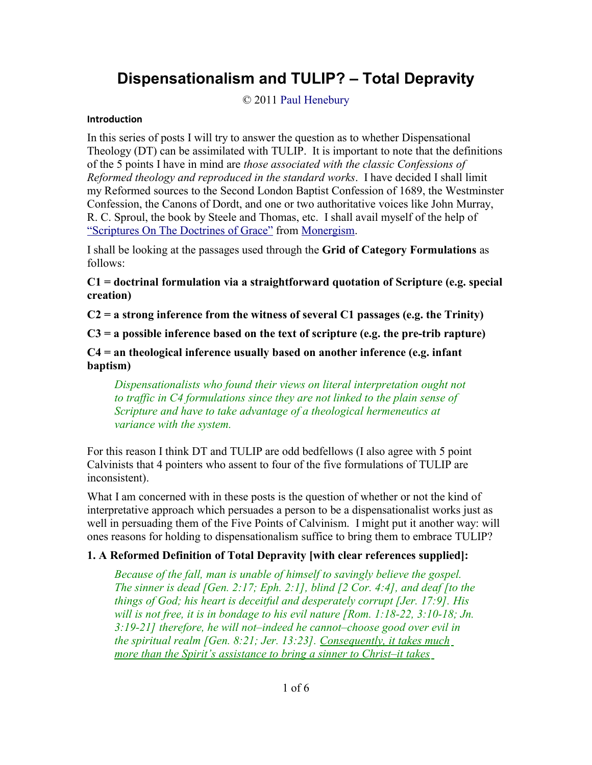# **Dispensationalism and TULIP? – Total Depravity**

© 2011 [Paul Henebury](http://www.spiritandtruth.org/id/ph.htm)

### **Introduction**

In this series of posts I will try to answer the question as to whether Dispensational Theology (DT) can be assimilated with TULIP. It is important to note that the definitions of the 5 points I have in mind are *those associated with the classic Confessions of Reformed theology and reproduced in the standard works*. I have decided I shall limit my Reformed sources to the Second London Baptist Confession of 1689, the Westminster Confession, the Canons of Dordt, and one or two authoritative voices like John Murray, R. C. Sproul, the book by Steele and Thomas, etc. I shall avail myself of the help of ["Scriptures On The Doctrines of Grace"](http://www.freegrace.net/scriptures/default.htm) from [Monergism.](http://www.monergism.com/directory/)

I shall be looking at the passages used through the **Grid of Category Formulations** as follows:

**C1 = doctrinal formulation via a straightforward quotation of Scripture (e.g. special creation)**

**C2 = a strong inference from the witness of several C1 passages (e.g. the Trinity)**

**C3 = a possible inference based on the text of scripture (e.g. the pre-trib rapture)**

**C4 = an theological inference usually based on another inference (e.g. infant baptism)**

*Dispensationalists who found their views on literal interpretation ought not to traffic in C4 formulations since they are not linked to the plain sense of Scripture and have to take advantage of a theological hermeneutics at variance with the system.*

For this reason I think DT and TULIP are odd bedfellows (I also agree with 5 point Calvinists that 4 pointers who assent to four of the five formulations of TULIP are inconsistent).

What I am concerned with in these posts is the question of whether or not the kind of interpretative approach which persuades a person to be a dispensationalist works just as well in persuading them of the Five Points of Calvinism. I might put it another way: will ones reasons for holding to dispensationalism suffice to bring them to embrace TULIP?

## **1. A Reformed Definition of Total Depravity [with clear references supplied]:**

*Because of the fall, man is unable of himself to savingly believe the gospel. The sinner is dead [Gen. 2:17; Eph. 2:1], blind [2 Cor. 4:4], and deaf [to the things of God; his heart is deceitful and desperately corrupt [Jer. 17:9]. His will is not free, it is in bondage to his evil nature [Rom. 1:18-22, 3:10-18; Jn. 3:19-21] therefore, he will not–indeed he cannot–choose good over evil in the spiritual realm [Gen. 8:21; Jer. 13:23]. Consequently, it takes much more than the Spirit's assistance to bring a sinner to Christ–it takes*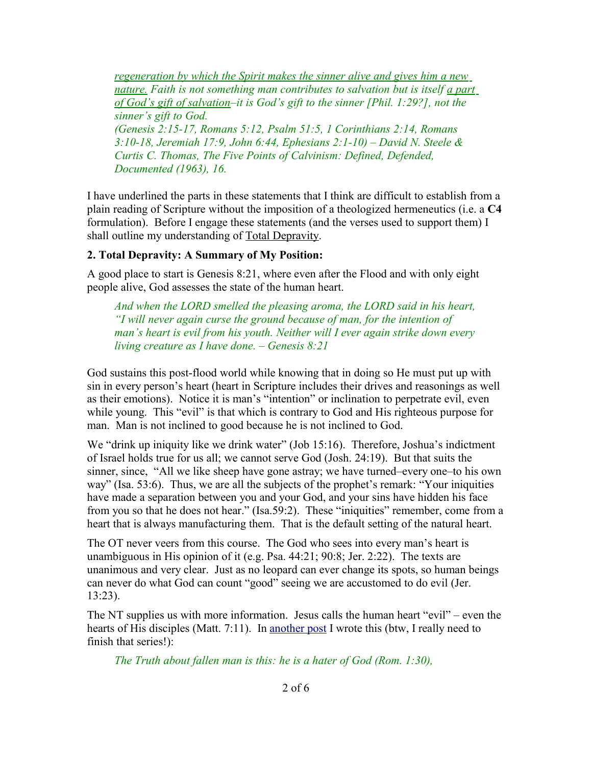*regeneration by which the Spirit makes the sinner alive and gives him a new nature. Faith is not something man contributes to salvation but is itself a part of God's gift of salvation–it is God's gift to the sinner [Phil. 1:29?], not the sinner's gift to God. (Genesis 2:15-17, Romans 5:12, Psalm 51:5, 1 Corinthians 2:14, Romans 3:10-18, Jeremiah 17:9, John 6:44, Ephesians 2:1-10) – David N. Steele & Curtis C. Thomas, The Five Points of Calvinism: Defined, Defended, Documented (1963), 16.*

I have underlined the parts in these statements that I think are difficult to establish from a plain reading of Scripture without the imposition of a theologized hermeneutics (i.e. a **C4** formulation). Before I engage these statements (and the verses used to support them) I shall outline my understanding of Total Depravity.

#### **2. Total Depravity: A Summary of My Position:**

A good place to start is Genesis 8:21, where even after the Flood and with only eight people alive, God assesses the state of the human heart.

*And when the LORD smelled the pleasing aroma, the LORD said in his heart, "I will never again curse the ground because of man, for the intention of man's heart is evil from his youth. Neither will I ever again strike down every living creature as I have done. – Genesis 8:21*

God sustains this post-flood world while knowing that in doing so He must put up with sin in every person's heart (heart in Scripture includes their drives and reasonings as well as their emotions). Notice it is man's "intention" or inclination to perpetrate evil, even while young. This "evil" is that which is contrary to God and His righteous purpose for man. Man is not inclined to good because he is not inclined to God.

We "drink up iniquity like we drink water" (Job 15:16). Therefore, Joshua's indictment of Israel holds true for us all; we cannot serve God (Josh. 24:19). But that suits the sinner, since, "All we like sheep have gone astray; we have turned–every one–to his own way" (Isa. 53:6). Thus, we are all the subjects of the prophet's remark: "Your iniquities have made a separation between you and your God, and your sins have hidden his face from you so that he does not hear." (Isa.59:2). These "iniquities" remember, come from a heart that is always manufacturing them. That is the default setting of the natural heart.

The OT never veers from this course. The God who sees into every man's heart is unambiguous in His opinion of it (e.g. Psa. 44:21; 90:8; Jer. 2:22). The texts are unanimous and very clear. Just as no leopard can ever change its spots, so human beings can never do what God can count "good" seeing we are accustomed to do evil (Jer. 13:23).

The NT supplies us with more information. Jesus calls the human heart "evil" – even the hearts of His disciples (Matt. 7:11). In [another post](http://drreluctant.wordpress.com/2010/03/05/the-fall-and-its-effects-pt-1/) I wrote this (btw, I really need to finish that series!):

*The Truth about fallen man is this: he is a hater of God (Rom. 1:30),*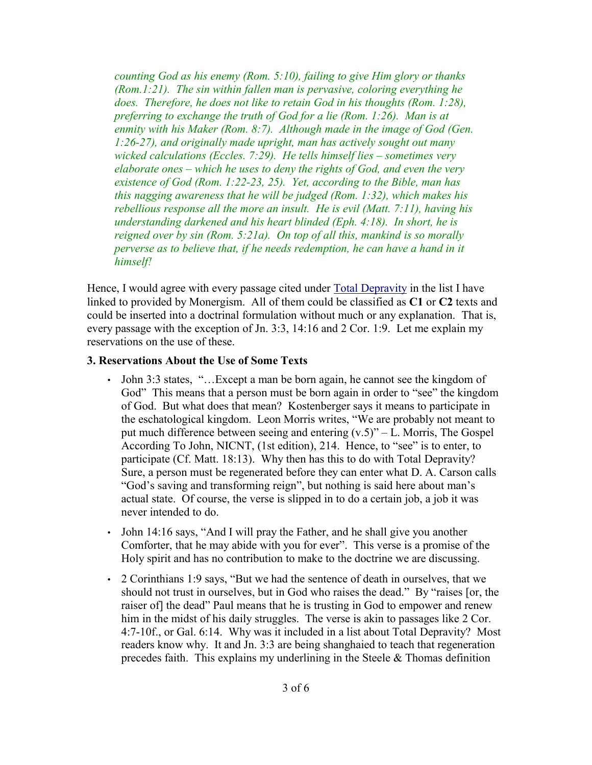*counting God as his enemy (Rom. 5:10), failing to give Him glory or thanks (Rom.1:21). The sin within fallen man is pervasive, coloring everything he does. Therefore, he does not like to retain God in his thoughts (Rom. 1:28), preferring to exchange the truth of God for a lie (Rom. 1:26). Man is at enmity with his Maker (Rom. 8:7). Although made in the image of God (Gen. 1:26-27), and originally made upright, man has actively sought out many wicked calculations (Eccles. 7:29). He tells himself lies – sometimes very elaborate ones – which he uses to deny the rights of God, and even the very existence of God (Rom. 1:22-23, 25). Yet, according to the Bible, man has this nagging awareness that he will be judged (Rom. 1:32), which makes his rebellious response all the more an insult. He is evil (Matt. 7:11), having his understanding darkened and his heart blinded (Eph. 4:18). In short, he is reigned over by sin (Rom. 5:21a). On top of all this, mankind is so morally perverse as to believe that, if he needs redemption, he can have a hand in it himself!*

Hence, I would agree with every passage cited under [Total Depravity](http://www.freegrace.net/scriptures/total_depravity.htm) in the list I have linked to provided by Monergism. All of them could be classified as **C1** or **C2** texts and could be inserted into a doctrinal formulation without much or any explanation. That is, every passage with the exception of Jn. 3:3, 14:16 and 2 Cor. 1:9. Let me explain my reservations on the use of these.

#### **3. Reservations About the Use of Some Texts**

- John 3:3 states, "...Except a man be born again, he cannot see the kingdom of God" This means that a person must be born again in order to "see" the kingdom of God. But what does that mean? Kostenberger says it means to participate in the eschatological kingdom. Leon Morris writes, "We are probably not meant to put much difference between seeing and entering  $(v.5)$ " – L. Morris, The Gospel According To John, NICNT, (1st edition), 214. Hence, to "see" is to enter, to participate (Cf. Matt. 18:13). Why then has this to do with Total Depravity? Sure, a person must be regenerated before they can enter what D. A. Carson calls "God's saving and transforming reign", but nothing is said here about man's actual state. Of course, the verse is slipped in to do a certain job, a job it was never intended to do.
- John 14:16 says, "And I will pray the Father, and he shall give you another Comforter, that he may abide with you for ever". This verse is a promise of the Holy spirit and has no contribution to make to the doctrine we are discussing.
- 2 Corinthians 1:9 says, "But we had the sentence of death in ourselves, that we should not trust in ourselves, but in God who raises the dead." By "raises [or, the raiser of] the dead" Paul means that he is trusting in God to empower and renew him in the midst of his daily struggles. The verse is akin to passages like 2 Cor. 4:7-10f., or Gal. 6:14. Why was it included in a list about Total Depravity? Most readers know why. It and Jn. 3:3 are being shanghaied to teach that regeneration precedes faith. This explains my underlining in the Steele & Thomas definition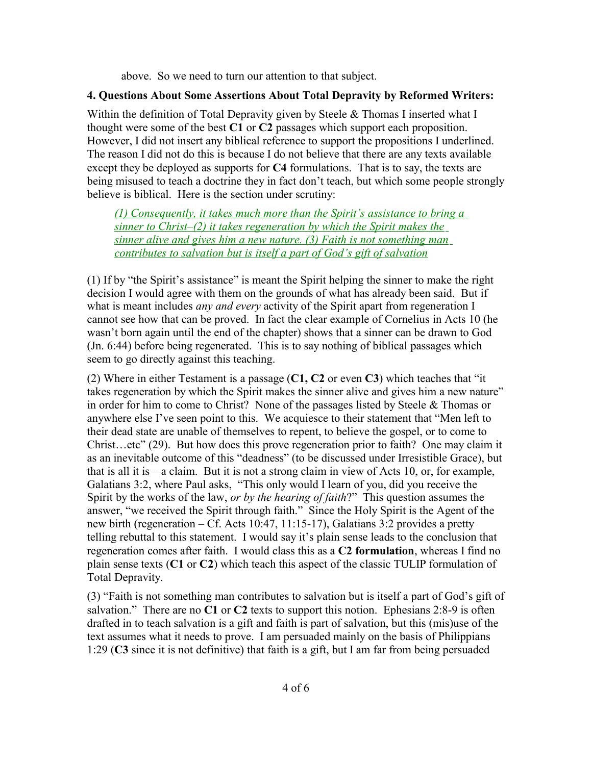above. So we need to turn our attention to that subject.

## **4. Questions About Some Assertions About Total Depravity by Reformed Writers:**

Within the definition of Total Depravity given by Steele & Thomas I inserted what I thought were some of the best **C1** or **C2** passages which support each proposition. However, I did not insert any biblical reference to support the propositions I underlined. The reason I did not do this is because I do not believe that there are any texts available except they be deployed as supports for **C4** formulations. That is to say, the texts are being misused to teach a doctrine they in fact don't teach, but which some people strongly believe is biblical. Here is the section under scrutiny:

*(1) Consequently, it takes much more than the Spirit's assistance to bring a sinner to Christ–(2) it takes regeneration by which the Spirit makes the sinner alive and gives him a new nature. (3) Faith is not something man contributes to salvation but is itself a part of God's gift of salvation*

(1) If by "the Spirit's assistance" is meant the Spirit helping the sinner to make the right decision I would agree with them on the grounds of what has already been said. But if what is meant includes *any and every* activity of the Spirit apart from regeneration I cannot see how that can be proved. In fact the clear example of Cornelius in Acts 10 (he wasn't born again until the end of the chapter) shows that a sinner can be drawn to God (Jn. 6:44) before being regenerated. This is to say nothing of biblical passages which seem to go directly against this teaching.

(2) Where in either Testament is a passage (**C1, C2** or even **C3**) which teaches that "it takes regeneration by which the Spirit makes the sinner alive and gives him a new nature" in order for him to come to Christ? None of the passages listed by Steele & Thomas or anywhere else I've seen point to this. We acquiesce to their statement that "Men left to their dead state are unable of themselves to repent, to believe the gospel, or to come to Christ…etc" (29). But how does this prove regeneration prior to faith? One may claim it as an inevitable outcome of this "deadness" (to be discussed under Irresistible Grace), but that is all it is – a claim. But it is not a strong claim in view of Acts 10, or, for example, Galatians 3:2, where Paul asks, "This only would I learn of you, did you receive the Spirit by the works of the law, *or by the hearing of faith*?" This question assumes the answer, "we received the Spirit through faith." Since the Holy Spirit is the Agent of the new birth (regeneration – Cf. Acts 10:47, 11:15-17), Galatians 3:2 provides a pretty telling rebuttal to this statement. I would say it's plain sense leads to the conclusion that regeneration comes after faith. I would class this as a **C2 formulation**, whereas I find no plain sense texts (**C1** or **C2**) which teach this aspect of the classic TULIP formulation of Total Depravity.

(3) "Faith is not something man contributes to salvation but is itself a part of God's gift of salvation." There are no **C1** or **C2** texts to support this notion. Ephesians 2:8-9 is often drafted in to teach salvation is a gift and faith is part of salvation, but this (mis)use of the text assumes what it needs to prove. I am persuaded mainly on the basis of Philippians 1:29 (**C3** since it is not definitive) that faith is a gift, but I am far from being persuaded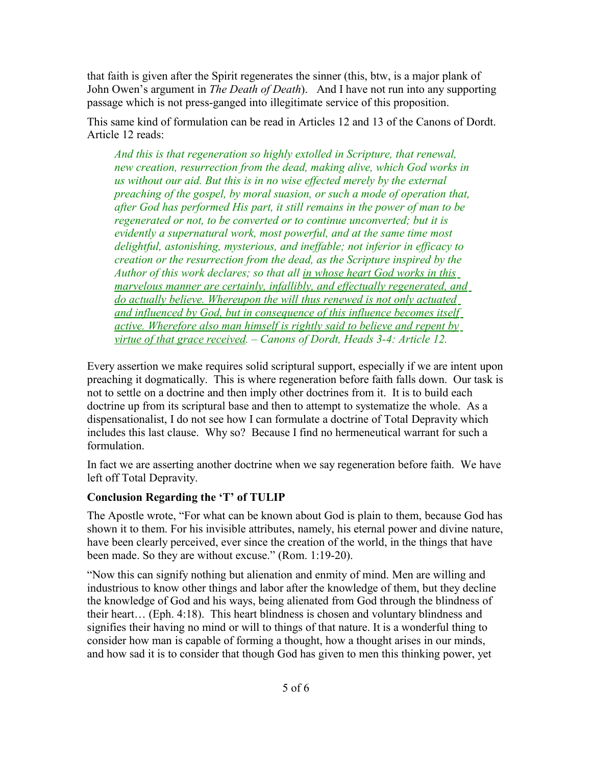that faith is given after the Spirit regenerates the sinner (this, btw, is a major plank of John Owen's argument in *The Death of Death*). And I have not run into any supporting passage which is not press-ganged into illegitimate service of this proposition.

This same kind of formulation can be read in Articles 12 and 13 of the Canons of Dordt. Article 12 reads:

*And this is that regeneration so highly extolled in Scripture, that renewal, new creation, resurrection from the dead, making alive, which God works in us without our aid. But this is in no wise effected merely by the external preaching of the gospel, by moral suasion, or such a mode of operation that, after God has performed His part, it still remains in the power of man to be regenerated or not, to be converted or to continue unconverted; but it is evidently a supernatural work, most powerful, and at the same time most delightful, astonishing, mysterious, and ineffable; not inferior in efficacy to creation or the resurrection from the dead, as the Scripture inspired by the Author of this work declares; so that all in whose heart God works in this marvelous manner are certainly, infallibly, and effectually regenerated, and do actually believe. Whereupon the will thus renewed is not only actuated and influenced by God, but in consequence of this influence becomes itself active. Wherefore also man himself is rightly said to believe and repent by virtue of that grace received. – Canons of Dordt, Heads 3-4: Article 12.*

Every assertion we make requires solid scriptural support, especially if we are intent upon preaching it dogmatically. This is where regeneration before faith falls down. Our task is not to settle on a doctrine and then imply other doctrines from it. It is to build each doctrine up from its scriptural base and then to attempt to systematize the whole. As a dispensationalist, I do not see how I can formulate a doctrine of Total Depravity which includes this last clause. Why so? Because I find no hermeneutical warrant for such a formulation.

In fact we are asserting another doctrine when we say regeneration before faith. We have left off Total Depravity.

## **Conclusion Regarding the 'T' of TULIP**

The Apostle wrote, "For what can be known about God is plain to them, because God has shown it to them. For his invisible attributes, namely, his eternal power and divine nature, have been clearly perceived, ever since the creation of the world, in the things that have been made. So they are without excuse." (Rom. 1:19-20).

"Now this can signify nothing but alienation and enmity of mind. Men are willing and industrious to know other things and labor after the knowledge of them, but they decline the knowledge of God and his ways, being alienated from God through the blindness of their heart… (Eph. 4:18). This heart blindness is chosen and voluntary blindness and signifies their having no mind or will to things of that nature. It is a wonderful thing to consider how man is capable of forming a thought, how a thought arises in our minds, and how sad it is to consider that though God has given to men this thinking power, yet